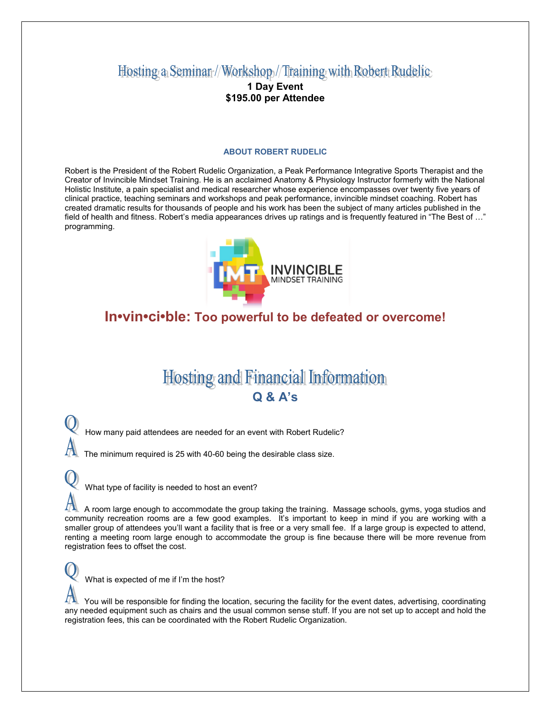## Hosting a Seminar//Workshop//Training with Robert Rudelic

### **1 Day Event \$195.00 per Attendee**

#### **ABOUT ROBERT RUDELIC**

Robert is the President of the Robert Rudelic Organization, a Peak Performance Integrative Sports Therapist and the Creator of Invincible Mindset Training. He is an acclaimed Anatomy & Physiology Instructor formerly with the National Holistic Institute, a pain specialist and medical researcher whose experience encompasses over twenty five years of clinical practice, teaching seminars and workshops and peak performance, invincible mindset coaching. Robert has created dramatic results for thousands of people and his work has been the subject of many articles published in the field of health and fitness. Robert's media appearances drives up ratings and is frequently featured in "The Best of ..." programming.



## **In•vin•ci•ble: Too powerful to be defeated or overcome!**

# **Hosting and Financial Information Q & A's**

How many paid attendees are needed for an event with Robert Rudelic?

The minimum required is 25 with 40-60 being the desirable class size.

What type of facility is needed to host an event?

 A room large enough to accommodate the group taking the training. Massage schools, gyms, yoga studios and community recreation rooms are a few good examples. It's important to keep in mind if you are working with a smaller group of attendees you'll want a facility that is free or a very small fee. If a large group is expected to attend, renting a meeting room large enough to accommodate the group is fine because there will be more revenue from registration fees to offset the cost.

What is expected of me if I'm the host?

 You will be responsible for finding the location, securing the facility for the event dates, advertising, coordinating any needed equipment such as chairs and the usual common sense stuff. If you are not set up to accept and hold the registration fees, this can be coordinated with the Robert Rudelic Organization.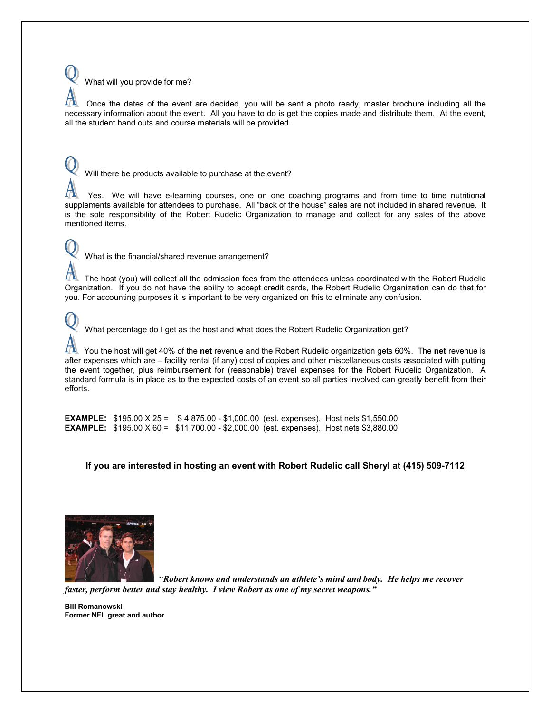

 Once the dates of the event are decided, you will be sent a photo ready, master brochure including all the necessary information about the event. All you have to do is get the copies made and distribute them. At the event, all the student hand outs and course materials will be provided.

Will there be products available to purchase at the event?

 Yes. We will have e-learning courses, one on one coaching programs and from time to time nutritional supplements available for attendees to purchase. All "back of the house" sales are not included in shared revenue. It is the sole responsibility of the Robert Rudelic Organization to manage and collect for any sales of the above mentioned items.

What is the financial/shared revenue arrangement?

 The host (you) will collect all the admission fees from the attendees unless coordinated with the Robert Rudelic Organization. If you do not have the ability to accept credit cards, the Robert Rudelic Organization can do that for you. For accounting purposes it is important to be very organized on this to eliminate any confusion.

What percentage do I get as the host and what does the Robert Rudelic Organization get?

 You the host will get 40% of the **net** revenue and the Robert Rudelic organization gets 60%. The **net** revenue is after expenses which are – facility rental (if any) cost of copies and other miscellaneous costs associated with putting the event together, plus reimbursement for (reasonable) travel expenses for the Robert Rudelic Organization. A standard formula is in place as to the expected costs of an event so all parties involved can greatly benefit from their efforts.

**EXAMPLE:** \$195.00 X 25 = \$ 4,875.00 - \$1,000.00 (est. expenses). Host nets \$1,550.00 **EXAMPLE:** \$195.00 X 60 = \$11,700.00 - \$2,000.00 (est. expenses). Host nets \$3,880.00

**If you are interested in hosting an event with Robert Rudelic call Sheryl at (415) 509-7112**



 "*Robert knows and understands an athlete's mind and body. He helps me recover faster, perform better and stay healthy. I view Robert as one of my secret weapons."*

**Bill Romanowski Former NFL great and author**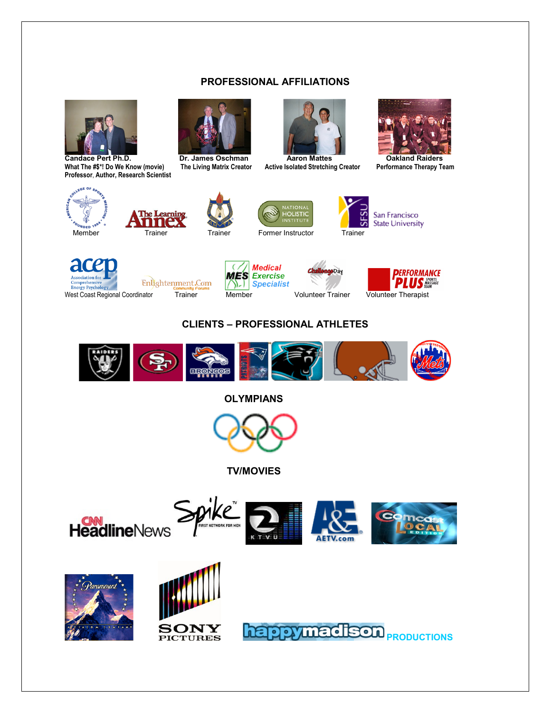### **PROFESSIONAL AFFILIATIONS**



**What The #\$\*! Do We Know (movie) The Living Matrix Creator Active Isolated Stretching Creator Performance Therapy Team Professor**, **Author, Research Scientist**







C





















### **CLIENTS – PROFESSIONAL ATHLETES**



**OLYMPIANS**



 **TV/MOVIES**